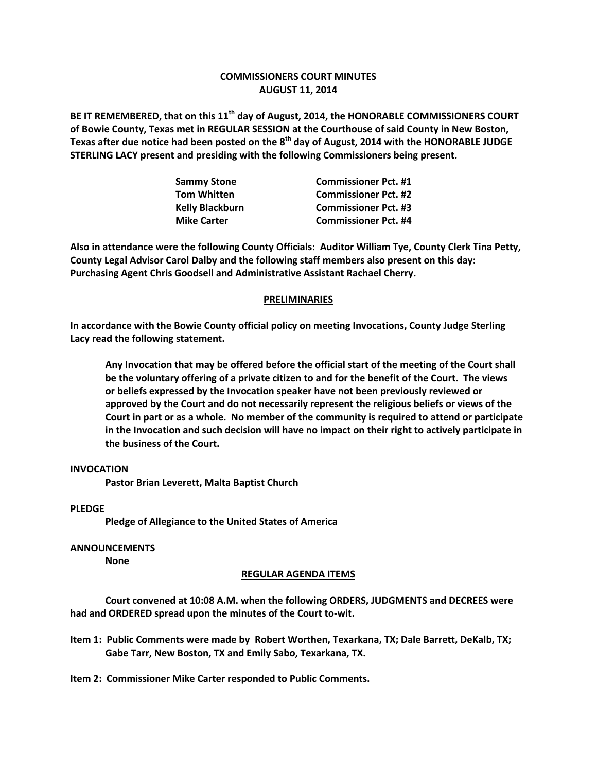# **COMMISSIONERS COURT MINUTES AUGUST 11, 2014**

**BE IT REMEMBERED, that on this 11th day of August, 2014, the HONORABLE COMMISSIONERS COURT of Bowie County, Texas met in REGULAR SESSION at the Courthouse of said County in New Boston, Texas after due notice had been posted on the 8th day of August, 2014 with the HONORABLE JUDGE STERLING LACY present and presiding with the following Commissioners being present.**

| <b>Sammy Stone</b>     | <b>Commissioner Pct. #1</b> |
|------------------------|-----------------------------|
| <b>Tom Whitten</b>     | <b>Commissioner Pct. #2</b> |
| <b>Kelly Blackburn</b> | <b>Commissioner Pct. #3</b> |
| <b>Mike Carter</b>     | <b>Commissioner Pct. #4</b> |

**Also in attendance were the following County Officials: Auditor William Tye, County Clerk Tina Petty, County Legal Advisor Carol Dalby and the following staff members also present on this day: Purchasing Agent Chris Goodsell and Administrative Assistant Rachael Cherry.**

## **PRELIMINARIES**

**In accordance with the Bowie County official policy on meeting Invocations, County Judge Sterling Lacy read the following statement.**

**Any Invocation that may be offered before the official start of the meeting of the Court shall be the voluntary offering of a private citizen to and for the benefit of the Court. The views or beliefs expressed by the Invocation speaker have not been previously reviewed or approved by the Court and do not necessarily represent the religious beliefs or views of the Court in part or as a whole. No member of the community is required to attend or participate in the Invocation and such decision will have no impact on their right to actively participate in the business of the Court.**

### **INVOCATION**

**Pastor Brian Leverett, Malta Baptist Church**

#### **PLEDGE**

**Pledge of Allegiance to the United States of America**

#### **ANNOUNCEMENTS**

**None**

#### **REGULAR AGENDA ITEMS**

**Court convened at 10:08 A.M. when the following ORDERS, JUDGMENTS and DECREES were had and ORDERED spread upon the minutes of the Court to-wit.**

**Item 1: Public Comments were made by Robert Worthen, Texarkana, TX; Dale Barrett, DeKalb, TX; Gabe Tarr, New Boston, TX and Emily Sabo, Texarkana, TX.**

**Item 2: Commissioner Mike Carter responded to Public Comments.**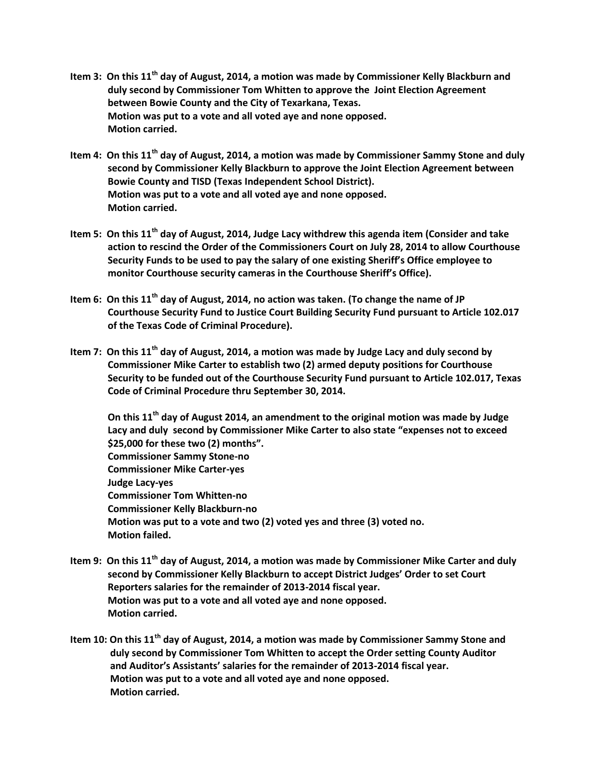- **Item 3: On this 11th day of August, 2014, a motion was made by Commissioner Kelly Blackburn and duly second by Commissioner Tom Whitten to approve the Joint Election Agreement between Bowie County and the City of Texarkana, Texas. Motion was put to a vote and all voted aye and none opposed. Motion carried.**
- **Item 4: On this 11th day of August, 2014, a motion was made by Commissioner Sammy Stone and duly second by Commissioner Kelly Blackburn to approve the Joint Election Agreement between Bowie County and TISD (Texas Independent School District). Motion was put to a vote and all voted aye and none opposed. Motion carried.**
- **Item 5: On this 11th day of August, 2014, Judge Lacy withdrew this agenda item (Consider and take action to rescind the Order of the Commissioners Court on July 28, 2014 to allow Courthouse Security Funds to be used to pay the salary of one existing Sheriff's Office employee to monitor Courthouse security cameras in the Courthouse Sheriff's Office).**
- **Item 6: On this 11th day of August, 2014, no action was taken. (To change the name of JP Courthouse Security Fund to Justice Court Building Security Fund pursuant to Article 102.017 of the Texas Code of Criminal Procedure).**
- **Item 7: On this 11th day of August, 2014, a motion was made by Judge Lacy and duly second by Commissioner Mike Carter to establish two (2) armed deputy positions for Courthouse Security to be funded out of the Courthouse Security Fund pursuant to Article 102.017, Texas Code of Criminal Procedure thru September 30, 2014.**

**On this 11th day of August 2014, an amendment to the original motion was made by Judge Lacy and duly second by Commissioner Mike Carter to also state "expenses not to exceed \$25,000 for these two (2) months". Commissioner Sammy Stone-no Commissioner Mike Carter-yes Judge Lacy-yes Commissioner Tom Whitten-no Commissioner Kelly Blackburn-no Motion was put to a vote and two (2) voted yes and three (3) voted no. Motion failed.**

- **Item 9: On this 11th day of August, 2014, a motion was made by Commissioner Mike Carter and duly second by Commissioner Kelly Blackburn to accept District Judges' Order to set Court Reporters salaries for the remainder of 2013-2014 fiscal year. Motion was put to a vote and all voted aye and none opposed. Motion carried.**
- **Item 10: On this 11th day of August, 2014, a motion was made by Commissioner Sammy Stone and duly second by Commissioner Tom Whitten to accept the Order setting County Auditor and Auditor's Assistants' salaries for the remainder of 2013-2014 fiscal year. Motion was put to a vote and all voted aye and none opposed. Motion carried.**